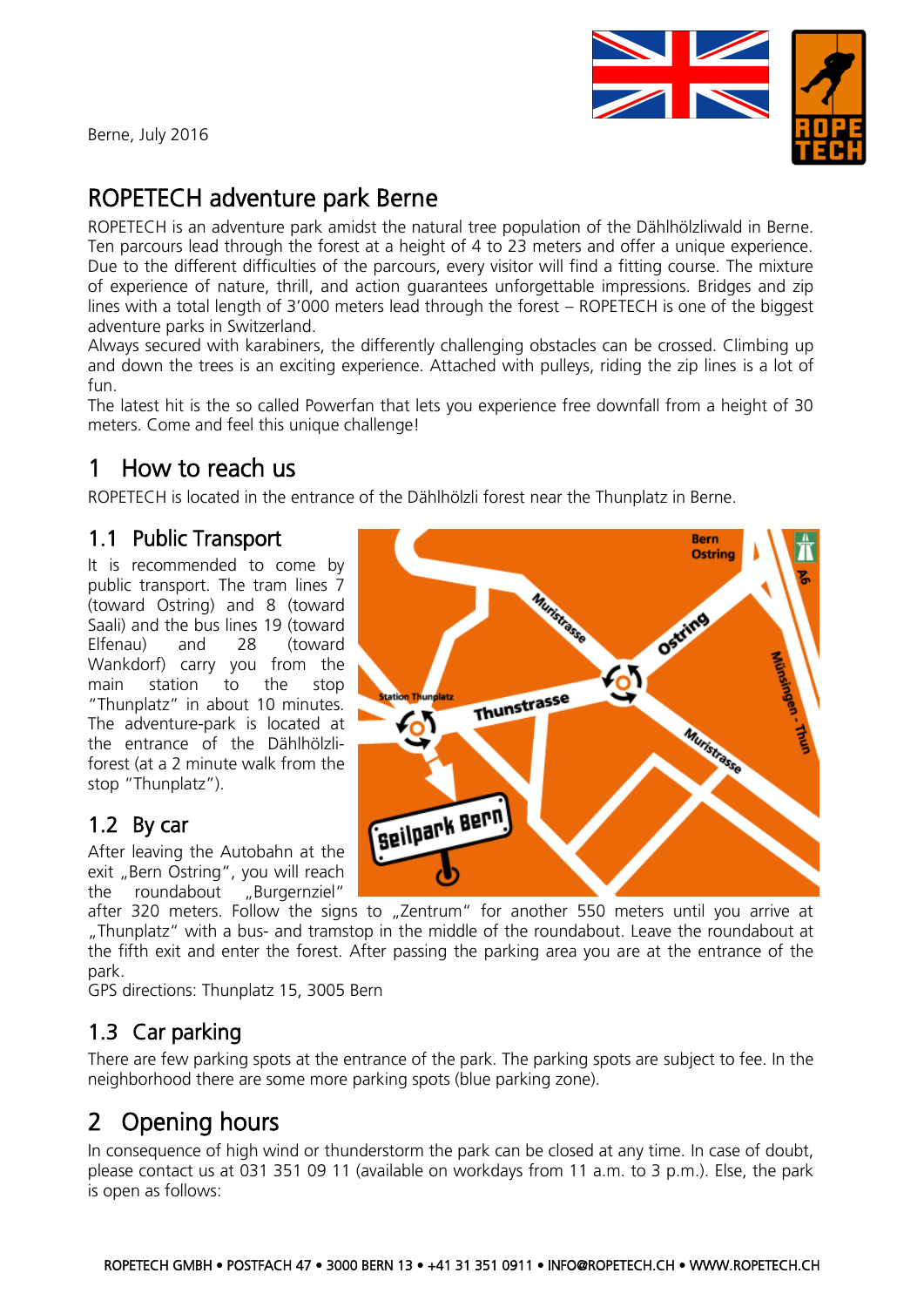Berne, July 2016



**Bern** 

# ROPETECH adventure park Berne

ROPETECH is an adventure park amidst the natural tree population of the Dählhölzliwald in Berne. Ten parcours lead through the forest at a height of 4 to 23 meters and offer a unique experience. Due to the different difficulties of the parcours, every visitor will find a fitting course. The mixture of experience of nature, thrill, and action guarantees unforgettable impressions. Bridges and zip lines with a total length of 3'000 meters lead through the forest – ROPETECH is one of the biggest adventure parks in Switzerland.

Always secured with karabiners, the differently challenging obstacles can be crossed. Climbing up and down the trees is an exciting experience. Attached with pulleys, riding the zip lines is a lot of fun.

The latest hit is the so called Powerfan that lets you experience free downfall from a height of 30 meters. Come and feel this unique challenge!

# 1 How to reach us

ROPETECH is located in the entrance of the Dählhölzli forest near the Thunplatz in Berne.

### 1.1 Public Transport

It is recommended to come by public transport. The tram lines 7 (toward Ostring) and 8 (toward Saali) and the bus lines 19 (toward Elfenau) and 28 (toward Wankdorf) carry you from the main station to the stop "Thunplatz" in about 10 minutes. The adventure-park is located at the entrance of the Dählhölzliforest (at a 2 minute walk from the stop "Thunplatz").

### 1.2 By car

After leaving the Autobahn at the exit "Bern Ostring", you will reach the roundabout "Burgernziel"

**Ostring** Muristrasse Ostring 61 Thunstrasse **Muristrasse** Seilpark Bern

after 320 meters. Follow the signs to "Zentrum" for another 550 meters until you arrive at "Thunplatz" with a bus- and tramstop in the middle of the roundabout. Leave the roundabout at the fifth exit and enter the forest. After passing the parking area you are at the entrance of the park.

GPS directions: Thunplatz 15, 3005 Bern

## 1.3 Car parking

There are few parking spots at the entrance of the park. The parking spots are subject to fee. In the neighborhood there are some more parking spots (blue parking zone).

# 2 Opening hours

In consequence of high wind or thunderstorm the park can be closed at any time. In case of doubt, please contact us at 031 351 09 11 (available on workdays from 11 a.m. to 3 p.m.). Else, the park is open as follows: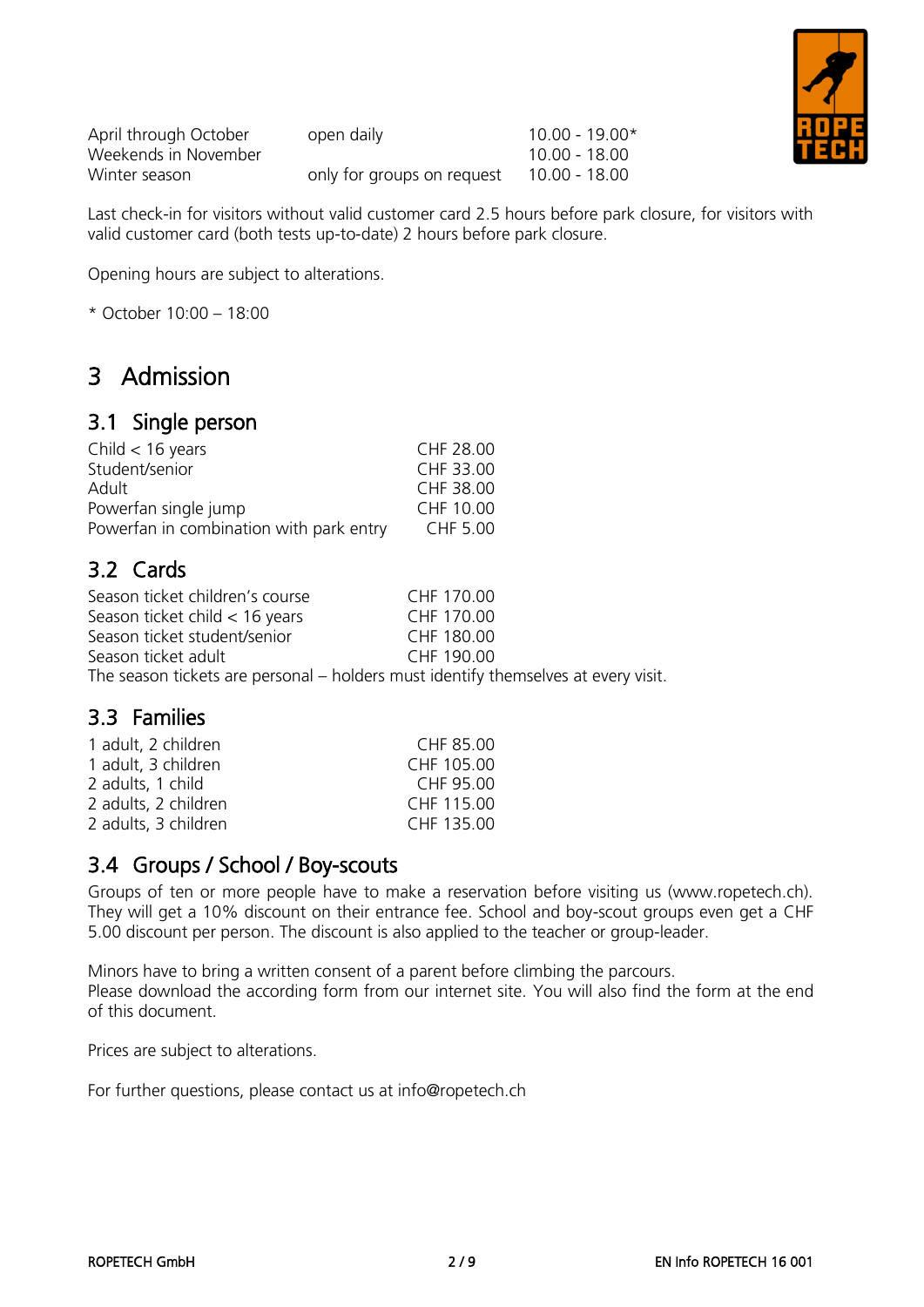| April through October | open daily                 | $10.00 - 19.00*$ |
|-----------------------|----------------------------|------------------|
| Weekends in November  |                            | 10.00 - 18.00    |
| Winter season         | only for groups on request | 10.00 - 18.00    |

Last check-in for visitors without valid customer card 2.5 hours before park closure, for visitors with valid customer card (both tests up-to-date) 2 hours before park closure.

Opening hours are subject to alterations.

\* October 10:00 – 18:00

## 3 Admission

### 3.1 Single person

| Child $<$ 16 years                      | CHF 28.00 |
|-----------------------------------------|-----------|
| Student/senior                          | CHF 33.00 |
| Adult                                   | CHF 38.00 |
| Powerfan single jump                    | CHF 10.00 |
| Powerfan in combination with park entry | CHF 5.00  |

### 3.2 Cards

| Season ticket children's course                                                    | CHF 170.00 |
|------------------------------------------------------------------------------------|------------|
| Season ticket child $<$ 16 years                                                   | CHF 170.00 |
| Season ticket student/senior                                                       | CHF 180.00 |
| Season ticket adult                                                                | CHF 190.00 |
| The season tickets are personal – holders must identify themselves at every visit. |            |

### 3.3 Families

| 1 adult, 2 children  | CHF 85.00  |
|----------------------|------------|
| 1 adult, 3 children  | CHF 105.00 |
| 2 adults, 1 child    | CHF 95.00  |
| 2 adults, 2 children | CHF 115.00 |
| 2 adults, 3 children | CHF 135.00 |
|                      |            |

### 3.4 Groups / School / Boy-scouts

Groups of ten or more people have to make a reservation before visiting us (www.ropetech.ch). They will get a 10% discount on their entrance fee. School and boy-scout groups even get a CHF 5.00 discount per person. The discount is also applied to the teacher or group-leader.

Minors have to bring a written consent of a parent before climbing the parcours. Please download the according form from our internet site. You will also find the form at the end of this document.

Prices are subject to alterations.

For further questions, please contact us at info@ropetech.ch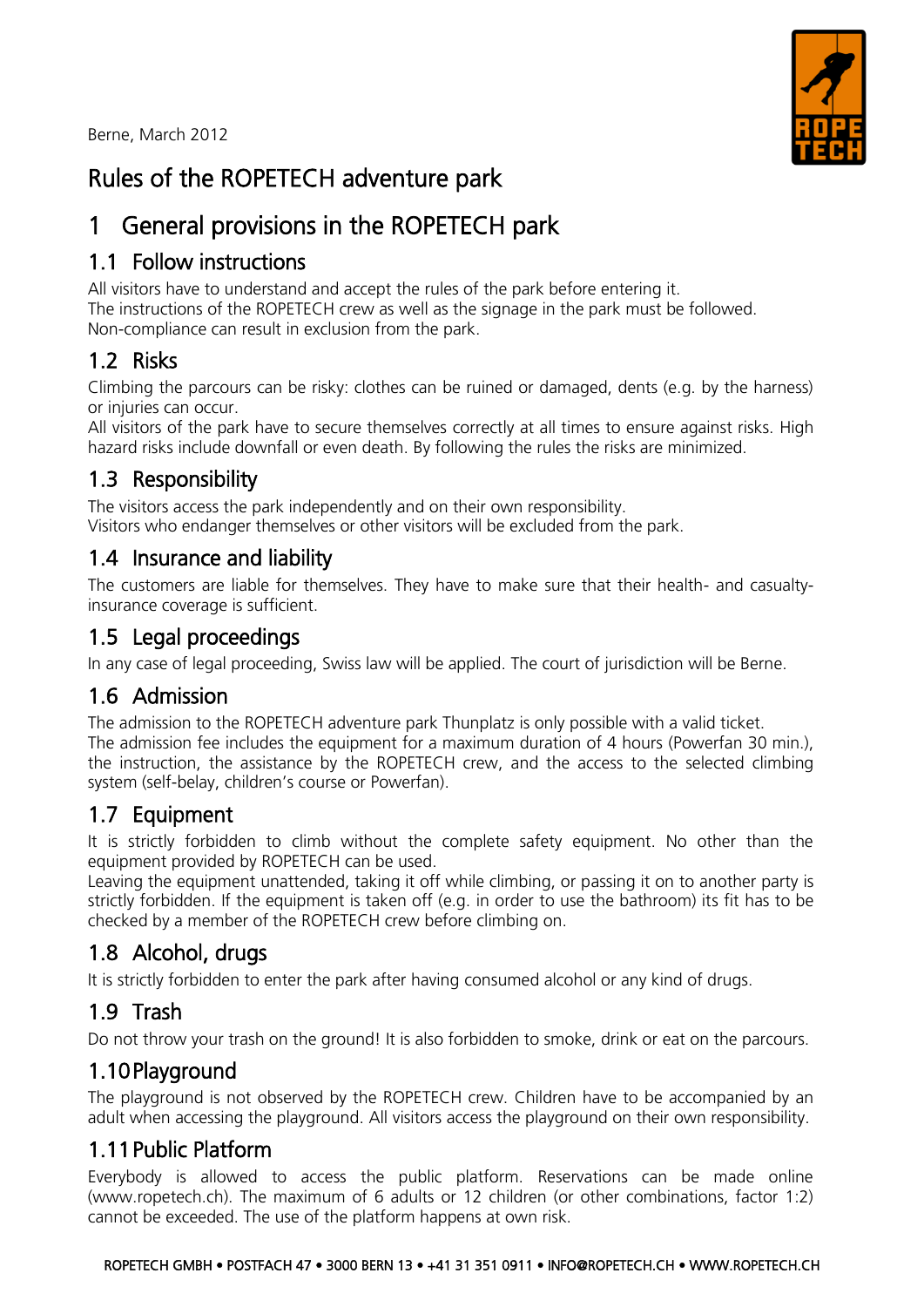Berne, March 2012



# Rules of the ROPETECH adventure park

# 1 General provisions in the ROPETECH park

## 1.1 Follow instructions

All visitors have to understand and accept the rules of the park before entering it. The instructions of the ROPETECH crew as well as the signage in the park must be followed. Non-compliance can result in exclusion from the park.

## 1.2 Risks

Climbing the parcours can be risky: clothes can be ruined or damaged, dents (e.g. by the harness) or injuries can occur.

All visitors of the park have to secure themselves correctly at all times to ensure against risks. High hazard risks include downfall or even death. By following the rules the risks are minimized.

## 1.3 Responsibility

The visitors access the park independently and on their own responsibility. Visitors who endanger themselves or other visitors will be excluded from the park.

## 1.4 Insurance and liability

The customers are liable for themselves. They have to make sure that their health- and casualtyinsurance coverage is sufficient.

## 1.5 Legal proceedings

In any case of legal proceeding, Swiss law will be applied. The court of jurisdiction will be Berne.

## 1.6 Admission

The admission to the ROPETECH adventure park Thunplatz is only possible with a valid ticket. The admission fee includes the equipment for a maximum duration of 4 hours (Powerfan 30 min.). the instruction, the assistance by the ROPETECH crew, and the access to the selected climbing system (self-belay, children's course or Powerfan).

## 1.7 Equipment

It is strictly forbidden to climb without the complete safety equipment. No other than the equipment provided by ROPETECH can be used.

Leaving the equipment unattended, taking it off while climbing, or passing it on to another party is strictly forbidden. If the equipment is taken off (e.g. in order to use the bathroom) its fit has to be checked by a member of the ROPETECH crew before climbing on.

## 1.8 Alcohol, drugs

It is strictly forbidden to enter the park after having consumed alcohol or any kind of drugs.

## 1.9 Trash

Do not throw your trash on the ground! It is also forbidden to smoke, drink or eat on the parcours.

## 1.10Playground

The playground is not observed by the ROPETECH crew. Children have to be accompanied by an adult when accessing the playground. All visitors access the playground on their own responsibility.

## 1.11Public Platform

Everybody is allowed to access the public platform. Reservations can be made online [\(www.ropetech.ch\)](http://www.ropetech.ch/). The maximum of 6 adults or 12 children (or other combinations, factor 1:2) cannot be exceeded. The use of the platform happens at own risk.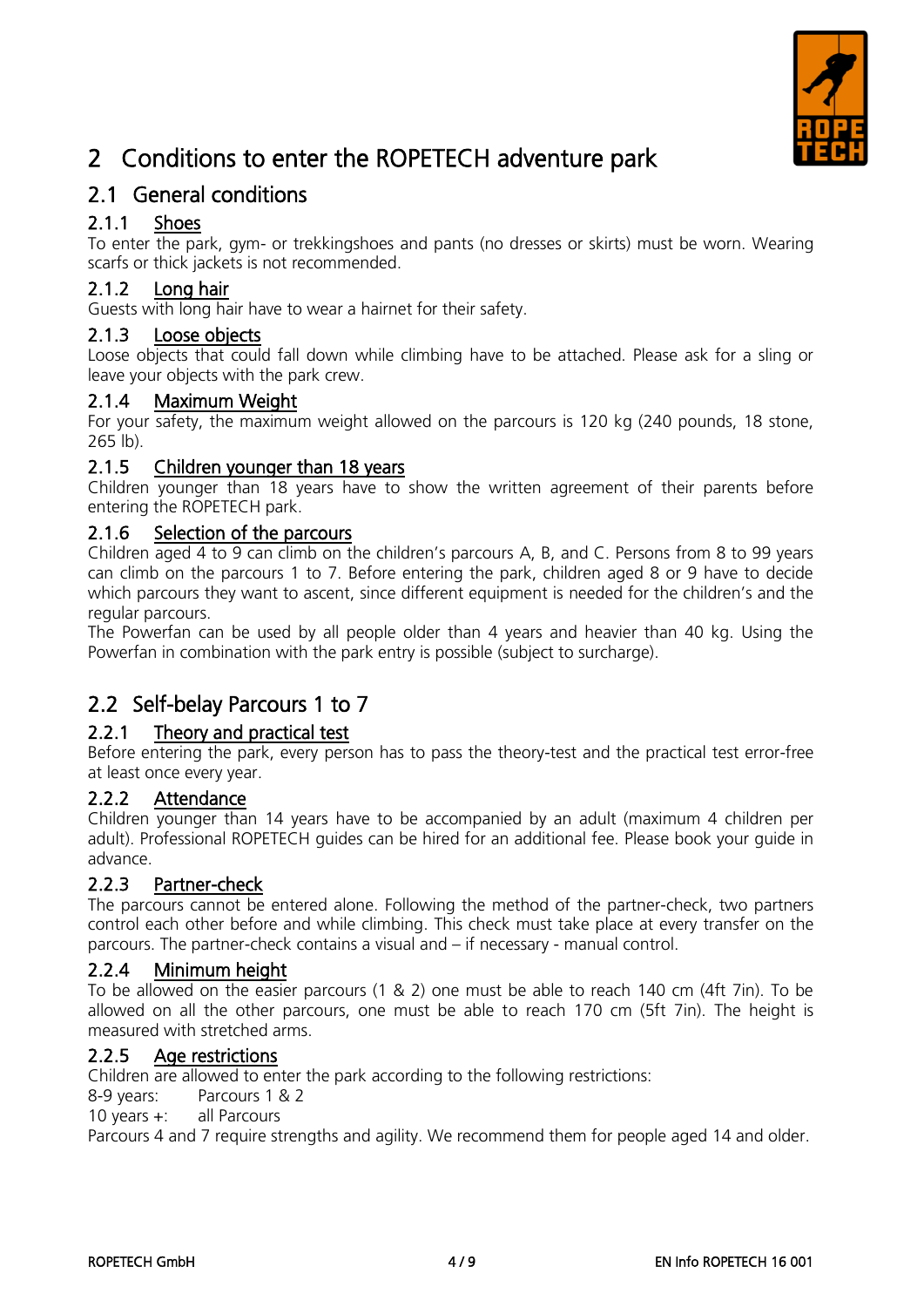

# 2 Conditions to enter the ROPETECH adventure park

### 2.1 General conditions

### 2.1.1 Shoes

To enter the park, gym- or trekkingshoes and pants (no dresses or skirts) must be worn. Wearing scarfs or thick jackets is not recommended.

#### 2.1.2 Long hair

Guests with long hair have to wear a hairnet for their safety.

#### 2.1.3 Loose objects

Loose objects that could fall down while climbing have to be attached. Please ask for a sling or leave your objects with the park crew.

#### 2.1.4 Maximum Weight

For your safety, the maximum weight allowed on the parcours is 120 kg (240 pounds, 18 stone, 265 lb).

#### 2.1.5 Children younger than 18 years

Children younger than 18 years have to show the written agreement of their parents before entering the ROPETECH park.

#### 2.1.6 Selection of the parcours

Children aged 4 to 9 can climb on the children's parcours A, B, and C. Persons from 8 to 99 years can climb on the parcours 1 to 7. Before entering the park, children aged 8 or 9 have to decide which parcours they want to ascent, since different equipment is needed for the children's and the regular parcours.

The Powerfan can be used by all people older than 4 years and heavier than 40 kg. Using the Powerfan in combination with the park entry is possible (subject to surcharge).

## 2.2 Self-belay Parcours 1 to 7

#### 2.2.1 Theory and practical test

Before entering the park, every person has to pass the theory-test and the practical test error-free at least once every year.

#### 2.2.2 Attendance

Children younger than 14 years have to be accompanied by an adult (maximum 4 children per adult). Professional ROPETECH guides can be hired for an additional fee. Please book your guide in advance.

#### 2.2.3 Partner-check

The parcours cannot be entered alone. Following the method of the partner-check, two partners control each other before and while climbing. This check must take place at every transfer on the parcours. The partner-check contains a visual and – if necessary - manual control.

#### 2.2.4 Minimum height

To be allowed on the easier parcours (1 & 2) one must be able to reach 140 cm (4ft 7in). To be allowed on all the other parcours, one must be able to reach 170 cm (5ft 7in). The height is measured with stretched arms.

#### 2.2.5 Age restrictions

Children are allowed to enter the park according to the following restrictions:

8-9 years: Parcours 1 & 2

10 years +: all Parcours

Parcours 4 and 7 require strengths and agility. We recommend them for people aged 14 and older.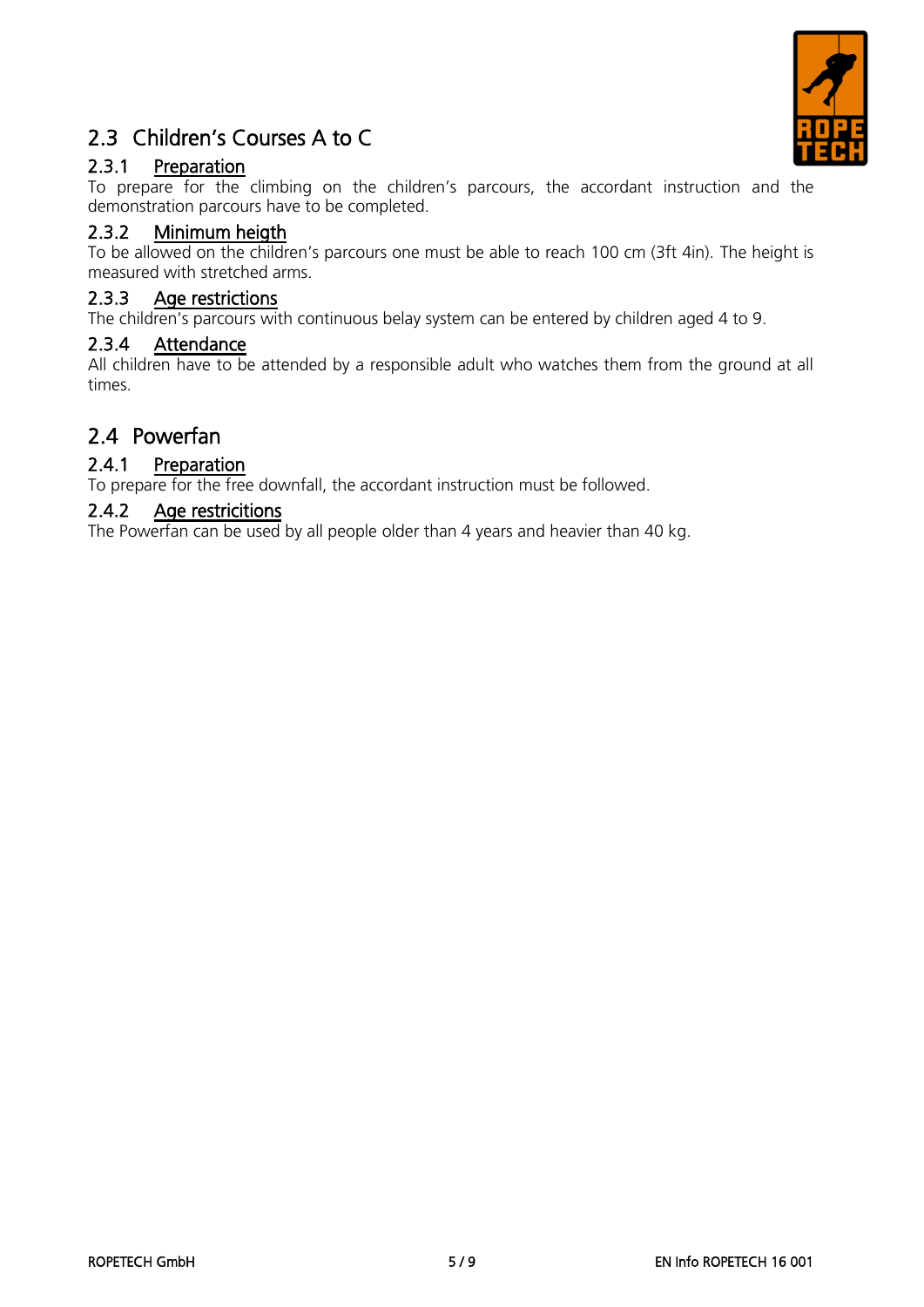

## 2.3 Children's Courses A to C

### 2.3.1 Preparation

To prepare for the climbing on the children's parcours, the accordant instruction and the demonstration parcours have to be completed.

#### 2.3.2 Minimum heigth

To be allowed on the children's parcours one must be able to reach 100 cm (3ft 4in). The height is measured with stretched arms.

#### 2.3.3 Age restrictions

The children's parcours with continuous belay system can be entered by children aged 4 to 9.

#### 2.3.4 Attendance

All children have to be attended by a responsible adult who watches them from the ground at all times.

### 2.4 Powerfan

#### 2.4.1 Preparation

To prepare for the free downfall, the accordant instruction must be followed.

#### 2.4.2 Age restricitions

The Powerfan can be used by all people older than 4 years and heavier than 40 kg.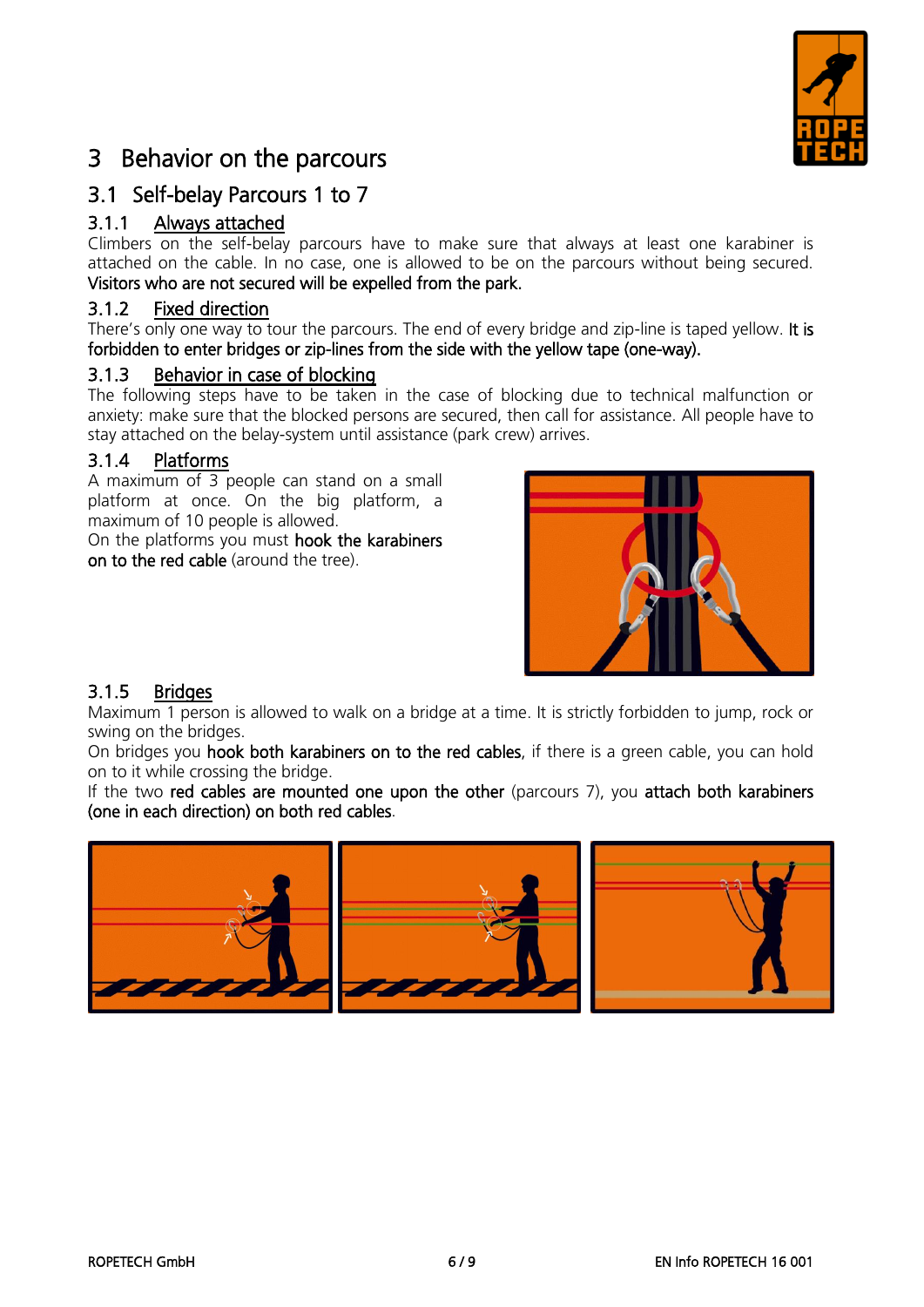

## 3 Behavior on the parcours

### 3.1 Self-belay Parcours 1 to 7

#### 3.1.1 Always attached

Climbers on the self-belay parcours have to make sure that always at least one karabiner is attached on the cable. In no case, one is allowed to be on the parcours without being secured. Visitors who are not secured will be expelled from the park.

#### 3.1.2 Fixed direction

There's only one way to tour the parcours. The end of every bridge and zip-line is taped yellow. It is forbidden to enter bridges or zip-lines from the side with the yellow tape (one-way).

#### 3.1.3 Behavior in case of blocking

The following steps have to be taken in the case of blocking due to technical malfunction or anxiety: make sure that the blocked persons are secured, then call for assistance. All people have to stay attached on the belay-system until assistance (park crew) arrives.

#### 3.1.4 Platforms

A maximum of 3 people can stand on a small platform at once. On the big platform, a maximum of 10 people is allowed.

On the platforms you must hook the karabiners on to the red cable (around the tree).



#### 3.1.5 Bridges

Maximum 1 person is allowed to walk on a bridge at a time. It is strictly forbidden to jump, rock or swing on the bridges.

On bridges you hook both karabiners on to the red cables, if there is a green cable, you can hold on to it while crossing the bridge.

If the two red cables are mounted one upon the other (parcours 7), you attach both karabiners (one in each direction) on both red cables.

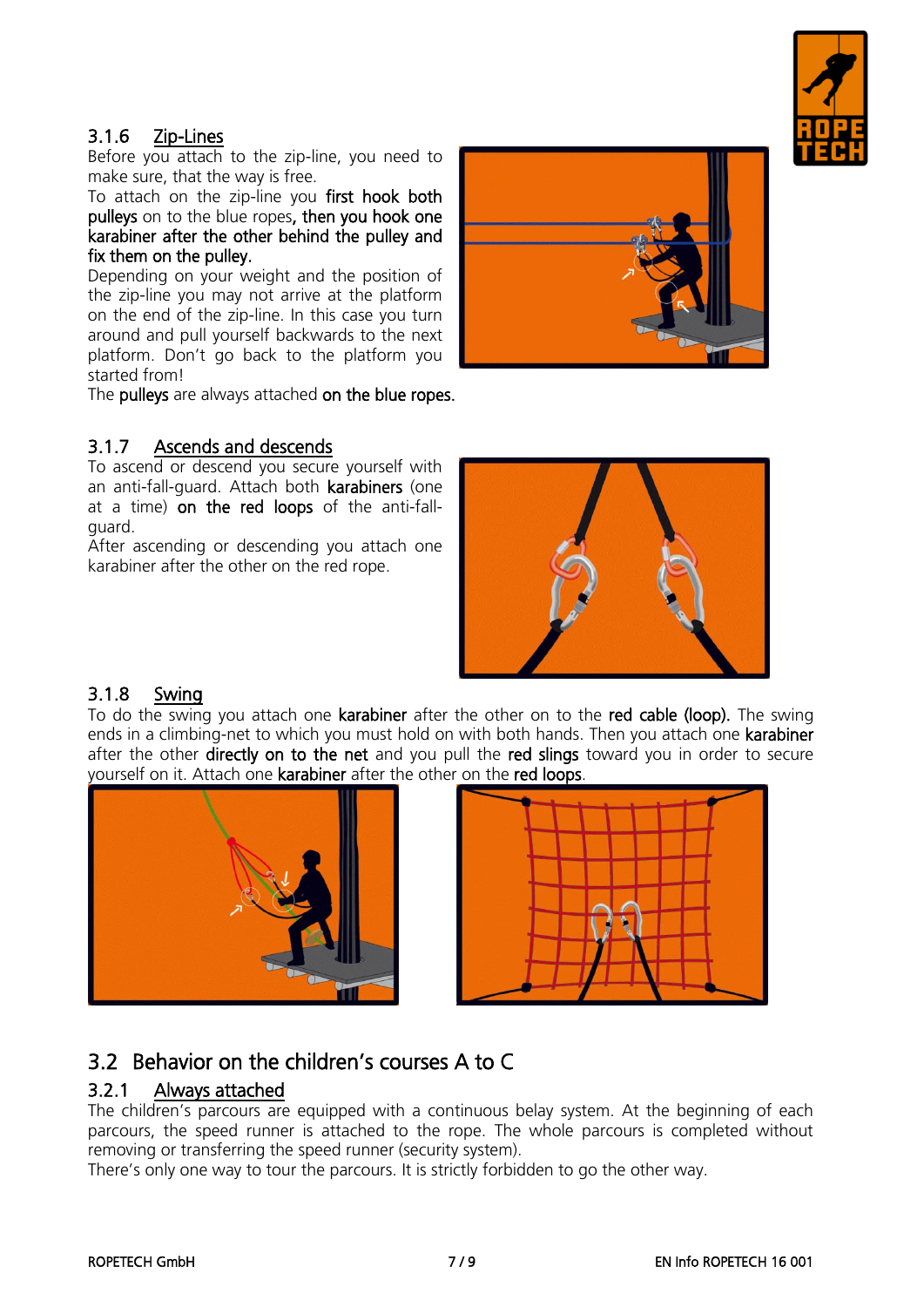

#### 3.1.6 Zip-Lines

Before you attach to the zip-line, you need to make sure, that the way is free.

To attach on the zip-line you first hook both pulleys on to the blue ropes, then you hook one karabiner after the other behind the pulley and fix them on the pulley.

Depending on your weight and the position of the zip-line you may not arrive at the platform on the end of the zip-line. In this case you turn around and pull yourself backwards to the next platform. Don't go back to the platform you started from!

The pulleys are always attached on the blue ropes.

#### 3.1.7 Ascends and descends

To ascend or descend you secure yourself with an anti-fall-guard. Attach both karabiners (one at a time) on the red loops of the anti-fallguard.

After ascending or descending you attach one karabiner after the other on the red rope.





#### 3.1.8 Swing

To do the swing you attach one **karabiner** after the other on to the **red cable (loop).** The swing ends in a climbing-net to which you must hold on with both hands. Then you attach one **karabiner** after the other directly on to the net and you pull the red slings toward you in order to secure yourself on it. Attach one karabiner after the other on the red loops.





### 3.2 Behavior on the children's courses A to C

#### 3.2.1 Always attached

The children's parcours are equipped with a continuous belay system. At the beginning of each parcours, the speed runner is attached to the rope. The whole parcours is completed without removing or transferring the speed runner (security system).

There's only one way to tour the parcours. It is strictly forbidden to go the other way.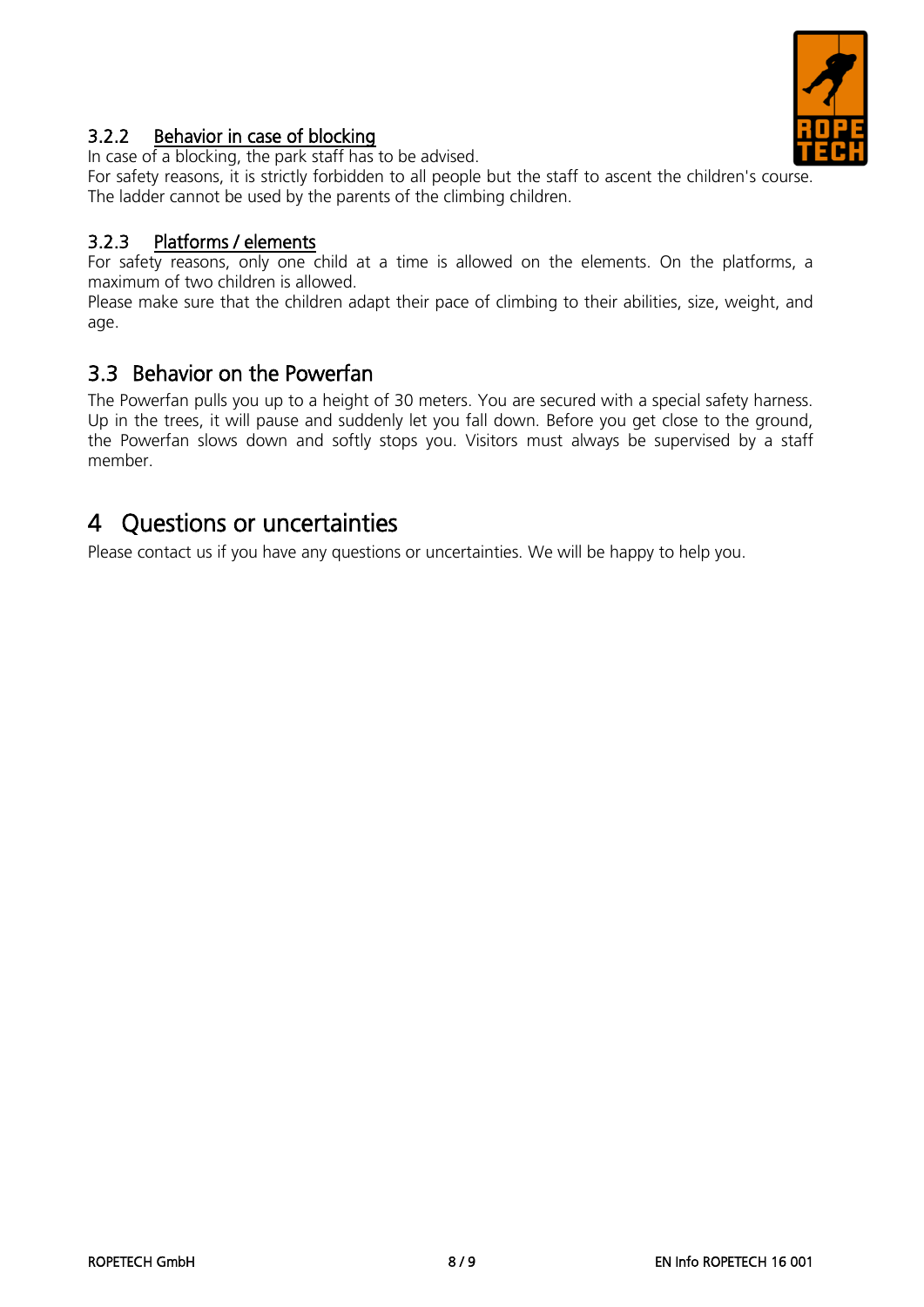

#### 3.2.2 Behavior in case of blocking

In case of a blocking, the park staff has to be advised.

For safety reasons, it is strictly forbidden to all people but the staff to ascent the children's course. The ladder cannot be used by the parents of the climbing children.

#### 3.2.3 Platforms / elements

For safety reasons, only one child at a time is allowed on the elements. On the platforms, a maximum of two children is allowed.

Please make sure that the children adapt their pace of climbing to their abilities, size, weight, and age.

### 3.3 Behavior on the Powerfan

The Powerfan pulls you up to a height of 30 meters. You are secured with a special safety harness. Up in the trees, it will pause and suddenly let you fall down. Before you get close to the ground, the Powerfan slows down and softly stops you. Visitors must always be supervised by a staff member.

## 4 Questions or uncertainties

Please contact us if you have any questions or uncertainties. We will be happy to help you.